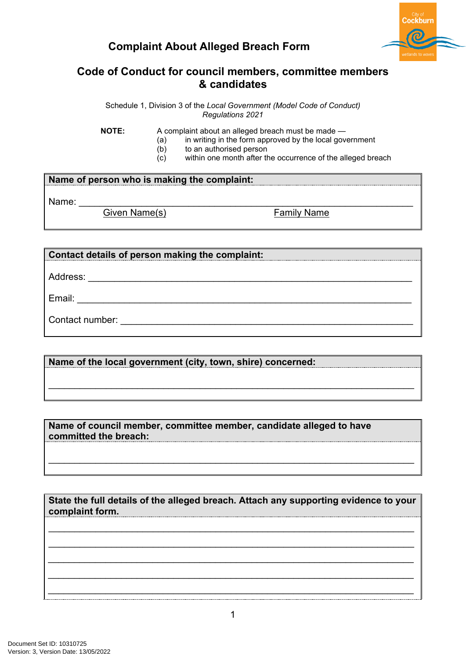



## **Code of Conduct for council members, committee members & candidates**

Schedule 1, Division 3 of the *Local Government (Model Code of Conduct) Regulations 2021*

**NOTE:** A complaint about an alleged breach must be made —

- $(a)$  in writing in the form approved by the local government
- (b) to an authorised person
- (c) within one month after the occurrence of the alleged breach

## **Name of person who is making the complaint:**

Name: Civen Name(s)<br>
Given Name(s) Given Name(s)

## **Contact details of person making the complaint:**

Address: \_\_\_\_\_\_\_\_\_\_\_\_\_\_\_\_\_\_\_\_\_\_\_\_\_\_\_\_\_\_\_\_\_\_\_\_\_\_\_\_\_\_\_\_\_\_\_\_\_\_\_\_\_\_\_\_\_\_\_\_\_\_

Email: \_\_\_\_\_\_\_\_\_\_\_\_\_\_\_\_\_\_\_\_\_\_\_\_\_\_\_\_\_\_\_\_\_\_\_\_\_\_\_\_\_\_\_\_\_\_\_\_\_\_\_\_\_\_\_\_\_\_\_\_\_\_\_\_

Contact number: \_\_\_\_\_\_\_\_\_\_\_\_\_\_\_\_\_\_\_\_\_\_\_\_\_\_\_\_\_\_\_\_\_\_\_\_\_\_\_\_\_\_\_\_\_\_\_\_\_\_\_\_\_\_\_\_

**Name of the local government (city, town, shire) concerned:**

**Name of council member, committee member, candidate alleged to have committed the breach:**

**State the full details of the alleged breach. Attach any supporting evidence to your complaint form.**

\_\_\_\_\_\_\_\_\_\_\_\_\_\_\_\_\_\_\_\_\_\_\_\_\_\_\_\_\_\_\_\_\_\_\_\_\_\_\_\_\_\_\_\_\_\_\_\_\_\_\_\_\_\_\_\_\_\_\_\_\_\_\_\_\_\_\_\_\_\_ \_\_\_\_\_\_\_\_\_\_\_\_\_\_\_\_\_\_\_\_\_\_\_\_\_\_\_\_\_\_\_\_\_\_\_\_\_\_\_\_\_\_\_\_\_\_\_\_\_\_\_\_\_\_\_\_\_\_\_\_\_\_\_\_\_\_\_\_\_\_ *\_\_\_\_\_\_\_\_\_\_\_\_\_\_\_\_\_\_\_\_\_\_\_\_\_\_\_\_\_\_\_\_\_\_\_\_\_\_\_\_\_\_\_\_\_\_\_\_\_\_\_\_\_\_\_\_\_\_\_\_\_\_\_\_\_\_\_\_\_\_ \_\_\_\_\_\_\_\_\_\_\_\_\_\_\_\_\_\_\_\_\_\_\_\_\_\_\_\_\_\_\_\_\_\_\_\_\_\_\_\_\_\_\_\_\_\_\_\_\_\_\_\_\_\_\_\_\_\_\_\_\_\_\_\_\_\_\_\_\_\_ \_\_\_\_\_\_\_\_\_\_\_\_\_\_\_\_\_\_\_\_\_\_\_\_\_\_\_\_\_\_\_\_\_\_\_\_\_\_\_\_\_\_\_\_\_\_\_\_\_\_\_\_\_\_\_\_\_\_\_\_\_\_\_\_\_\_\_\_\_\_*

\_\_\_\_\_\_\_\_\_\_\_\_\_\_\_\_\_\_\_\_\_\_\_\_\_\_\_\_\_\_\_\_\_\_\_\_\_\_\_\_\_\_\_\_\_\_\_\_\_\_\_\_\_\_\_\_\_\_\_\_\_\_\_\_\_\_\_\_\_\_

\_\_\_\_\_\_\_\_\_\_\_\_\_\_\_\_\_\_\_\_\_\_\_\_\_\_\_\_\_\_\_\_\_\_\_\_\_\_\_\_\_\_\_\_\_\_\_\_\_\_\_\_\_\_\_\_\_\_\_\_\_\_\_\_\_\_\_\_\_\_